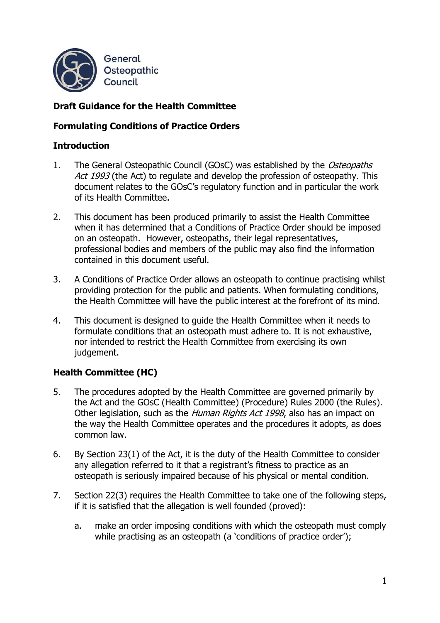

# **Draft Guidance for the Health Committee**

## **Formulating Conditions of Practice Orders**

### **Introduction**

- 1. The General Osteopathic Council (GOsC) was established by the Osteopaths Act 1993 (the Act) to regulate and develop the profession of osteopathy. This document relates to the GOsC's regulatory function and in particular the work of its Health Committee.
- 2. This document has been produced primarily to assist the Health Committee when it has determined that a Conditions of Practice Order should be imposed on an osteopath. However, osteopaths, their legal representatives, professional bodies and members of the public may also find the information contained in this document useful.
- 3. A Conditions of Practice Order allows an osteopath to continue practising whilst providing protection for the public and patients. When formulating conditions, the Health Committee will have the public interest at the forefront of its mind.
- 4. This document is designed to guide the Health Committee when it needs to formulate conditions that an osteopath must adhere to. It is not exhaustive, nor intended to restrict the Health Committee from exercising its own judgement.

### **Health Committee (HC)**

- 5. The procedures adopted by the Health Committee are governed primarily by the Act and the GOsC (Health Committee) (Procedure) Rules 2000 (the Rules). Other legislation, such as the *Human Rights Act 1998*, also has an impact on the way the Health Committee operates and the procedures it adopts, as does common law.
- 6. By Section 23(1) of the Act, it is the duty of the Health Committee to consider any allegation referred to it that a registrant's fitness to practice as an osteopath is seriously impaired because of his physical or mental condition.
- 7. Section 22(3) requires the Health Committee to take one of the following steps, if it is satisfied that the allegation is well founded (proved):
	- a. make an order imposing conditions with which the osteopath must comply while practising as an osteopath (a 'conditions of practice order');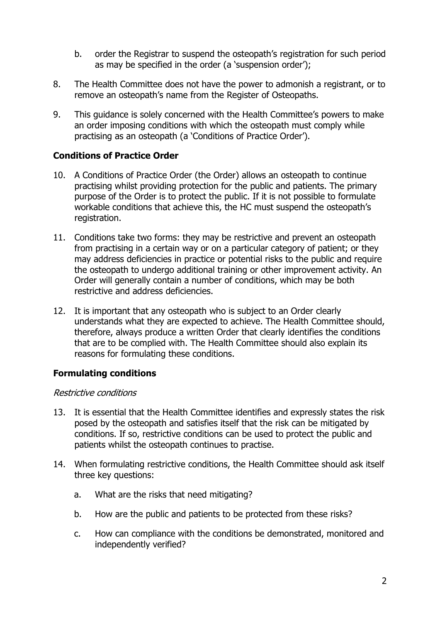- b. order the Registrar to suspend the osteopath's registration for such period as may be specified in the order (a 'suspension order');
- 8. The Health Committee does not have the power to admonish a registrant, or to remove an osteopath's name from the Register of Osteopaths.
- 9. This guidance is solely concerned with the Health Committee's powers to make an order imposing conditions with which the osteopath must comply while practising as an osteopath (a 'Conditions of Practice Order').

### **Conditions of Practice Order**

- 10. A Conditions of Practice Order (the Order) allows an osteopath to continue practising whilst providing protection for the public and patients. The primary purpose of the Order is to protect the public. If it is not possible to formulate workable conditions that achieve this, the HC must suspend the osteopath's registration.
- 11. Conditions take two forms: they may be restrictive and prevent an osteopath from practising in a certain way or on a particular category of patient; or they may address deficiencies in practice or potential risks to the public and require the osteopath to undergo additional training or other improvement activity. An Order will generally contain a number of conditions, which may be both restrictive and address deficiencies.
- 12. It is important that any osteopath who is subject to an Order clearly understands what they are expected to achieve. The Health Committee should, therefore, always produce a written Order that clearly identifies the conditions that are to be complied with. The Health Committee should also explain its reasons for formulating these conditions.

### **Formulating conditions**

#### Restrictive conditions

- 13. It is essential that the Health Committee identifies and expressly states the risk posed by the osteopath and satisfies itself that the risk can be mitigated by conditions. If so, restrictive conditions can be used to protect the public and patients whilst the osteopath continues to practise.
- 14. When formulating restrictive conditions, the Health Committee should ask itself three key questions:
	- a. What are the risks that need mitigating?
	- b. How are the public and patients to be protected from these risks?
	- c. How can compliance with the conditions be demonstrated, monitored and independently verified?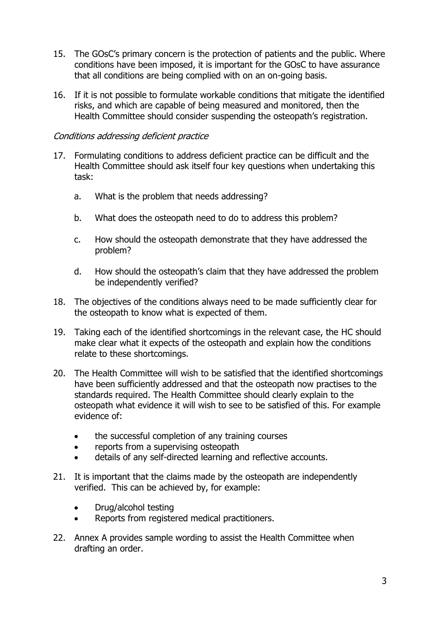- 15. The GOsC's primary concern is the protection of patients and the public. Where conditions have been imposed, it is important for the GOsC to have assurance that all conditions are being complied with on an on-going basis.
- 16. If it is not possible to formulate workable conditions that mitigate the identified risks, and which are capable of being measured and monitored, then the Health Committee should consider suspending the osteopath's registration.

#### Conditions addressing deficient practice

- 17. Formulating conditions to address deficient practice can be difficult and the Health Committee should ask itself four key questions when undertaking this task:
	- a. What is the problem that needs addressing?
	- b. What does the osteopath need to do to address this problem?
	- c. How should the osteopath demonstrate that they have addressed the problem?
	- d. How should the osteopath's claim that they have addressed the problem be independently verified?
- 18. The objectives of the conditions always need to be made sufficiently clear for the osteopath to know what is expected of them.
- 19. Taking each of the identified shortcomings in the relevant case, the HC should make clear what it expects of the osteopath and explain how the conditions relate to these shortcomings.
- 20. The Health Committee will wish to be satisfied that the identified shortcomings have been sufficiently addressed and that the osteopath now practises to the standards required. The Health Committee should clearly explain to the osteopath what evidence it will wish to see to be satisfied of this. For example evidence of:
	- the successful completion of any training courses
	- reports from a supervising osteopath
	- details of any self-directed learning and reflective accounts.
- 21. It is important that the claims made by the osteopath are independently verified. This can be achieved by, for example:
	- Drug/alcohol testing
	- Reports from registered medical practitioners.
- 22. Annex A provides sample wording to assist the Health Committee when drafting an order.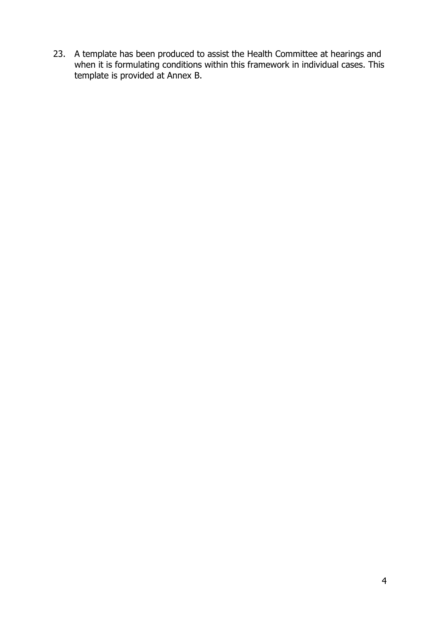23. A template has been produced to assist the Health Committee at hearings and when it is formulating conditions within this framework in individual cases. This template is provided at Annex B.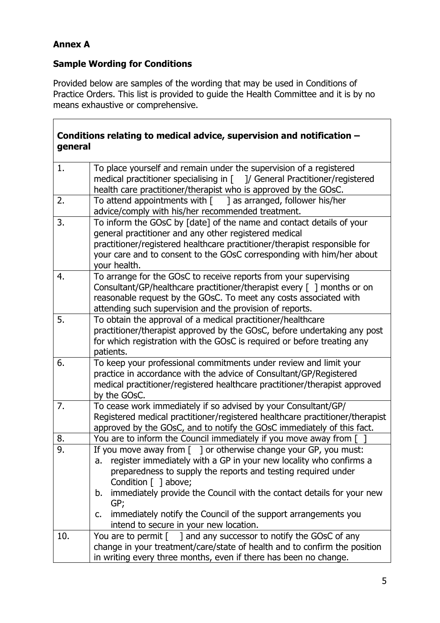# **Annex A**

 $\overline{\Gamma}$ 

# **Sample Wording for Conditions**

Provided below are samples of the wording that may be used in Conditions of Practice Orders. This list is provided to guide the Health Committee and it is by no means exhaustive or comprehensive.

| general | Conditions relating to medical advice, supervision and notification $-$                                                                                                                                                                                                                                                                                                                                                                                             |
|---------|---------------------------------------------------------------------------------------------------------------------------------------------------------------------------------------------------------------------------------------------------------------------------------------------------------------------------------------------------------------------------------------------------------------------------------------------------------------------|
| 1.      | To place yourself and remain under the supervision of a registered<br>medical practitioner specialising in [ ]/ General Practitioner/registered<br>health care practitioner/therapist who is approved by the GOsC.                                                                                                                                                                                                                                                  |
| 2.      | To attend appointments with $\lceil \cdot \cdot \rceil$ as arranged, follower his/her<br>advice/comply with his/her recommended treatment.                                                                                                                                                                                                                                                                                                                          |
| 3.      | To inform the GOsC by [date] of the name and contact details of your<br>general practitioner and any other registered medical<br>practitioner/registered healthcare practitioner/therapist responsible for<br>your care and to consent to the GOsC corresponding with him/her about<br>your health.                                                                                                                                                                 |
| 4.      | To arrange for the GOsC to receive reports from your supervising<br>Consultant/GP/healthcare practitioner/therapist every $\lceil \ \rceil$ months or on<br>reasonable request by the GOsC. To meet any costs associated with<br>attending such supervision and the provision of reports.                                                                                                                                                                           |
| 5.      | To obtain the approval of a medical practitioner/healthcare<br>practitioner/therapist approved by the GOsC, before undertaking any post<br>for which registration with the GOsC is required or before treating any<br>patients.                                                                                                                                                                                                                                     |
| 6.      | To keep your professional commitments under review and limit your<br>practice in accordance with the advice of Consultant/GP/Registered<br>medical practitioner/registered healthcare practitioner/therapist approved<br>by the GOsC.                                                                                                                                                                                                                               |
| 7.      | To cease work immediately if so advised by your Consultant/GP/<br>Registered medical practitioner/registered healthcare practitioner/therapist<br>approved by the GOsC, and to notify the GOsC immediately of this fact.                                                                                                                                                                                                                                            |
| 8.      | You are to inform the Council immediately if you move away from [                                                                                                                                                                                                                                                                                                                                                                                                   |
| 9.      | If you move away from $\lbrack 1$ or otherwise change your GP, you must:<br>register immediately with a GP in your new locality who confirms a<br>a.<br>preparedness to supply the reports and testing required under<br>Condition $\lceil \ \rceil$ above;<br>immediately provide the Council with the contact details for your new<br>b.<br>GP;<br>immediately notify the Council of the support arrangements you<br>c.<br>intend to secure in your new location. |
| 10.     | You are to permit $\lceil \quad \rceil$ and any successor to notify the GOsC of any<br>change in your treatment/care/state of health and to confirm the position<br>in writing every three months, even if there has been no change.                                                                                                                                                                                                                                |

٦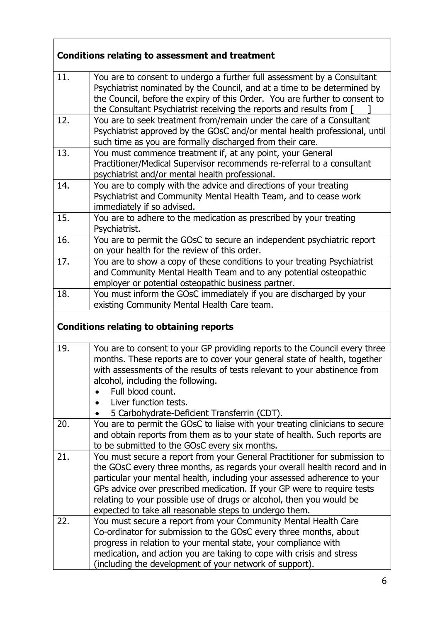| <b>Conditions relating to assessment and treatment</b> |                                                                                                                                                                                                                                                                                                                                                                                                                                                 |
|--------------------------------------------------------|-------------------------------------------------------------------------------------------------------------------------------------------------------------------------------------------------------------------------------------------------------------------------------------------------------------------------------------------------------------------------------------------------------------------------------------------------|
| 11.                                                    | You are to consent to undergo a further full assessment by a Consultant<br>Psychiatrist nominated by the Council, and at a time to be determined by<br>the Council, before the expiry of this Order. You are further to consent to<br>the Consultant Psychiatrist receiving the reports and results from [                                                                                                                                      |
| 12.                                                    | You are to seek treatment from/remain under the care of a Consultant<br>Psychiatrist approved by the GOsC and/or mental health professional, until<br>such time as you are formally discharged from their care.                                                                                                                                                                                                                                 |
| 13.                                                    | You must commence treatment if, at any point, your General<br>Practitioner/Medical Supervisor recommends re-referral to a consultant<br>psychiatrist and/or mental health professional.                                                                                                                                                                                                                                                         |
| 14.                                                    | You are to comply with the advice and directions of your treating<br>Psychiatrist and Community Mental Health Team, and to cease work<br>immediately if so advised.                                                                                                                                                                                                                                                                             |
| 15.                                                    | You are to adhere to the medication as prescribed by your treating<br>Psychiatrist.                                                                                                                                                                                                                                                                                                                                                             |
| 16.                                                    | You are to permit the GOsC to secure an independent psychiatric report<br>on your health for the review of this order.                                                                                                                                                                                                                                                                                                                          |
| 17.                                                    | You are to show a copy of these conditions to your treating Psychiatrist<br>and Community Mental Health Team and to any potential osteopathic<br>employer or potential osteopathic business partner.                                                                                                                                                                                                                                            |
| 18.                                                    | You must inform the GOsC immediately if you are discharged by your<br>existing Community Mental Health Care team.                                                                                                                                                                                                                                                                                                                               |
|                                                        | <b>Conditions relating to obtaining reports</b>                                                                                                                                                                                                                                                                                                                                                                                                 |
| 19.                                                    | You are to consent to your GP providing reports to the Council every three<br>months. These reports are to cover your general state of health, together<br>with assessments of the results of tests relevant to your abstinence from<br>alcohol, including the following.<br>Full blood count.<br>Liver function tests.<br>5 Carbohydrate-Deficient Transferrin (CDT).                                                                          |
| 20.                                                    | You are to permit the GOsC to liaise with your treating clinicians to secure<br>and obtain reports from them as to your state of health. Such reports are<br>to be submitted to the GOsC every six months.                                                                                                                                                                                                                                      |
| 21.                                                    | You must secure a report from your General Practitioner for submission to<br>the GOsC every three months, as regards your overall health record and in<br>particular your mental health, including your assessed adherence to your<br>GPs advice over prescribed medication. If your GP were to require tests<br>relating to your possible use of drugs or alcohol, then you would be<br>expected to take all reasonable steps to undergo them. |
| 22.                                                    | You must secure a report from your Community Mental Health Care<br>Co-ordinator for submission to the GOsC every three months, about<br>progress in relation to your mental state, your compliance with<br>medication, and action you are taking to cope with crisis and stress<br>(including the development of your network of support).                                                                                                      |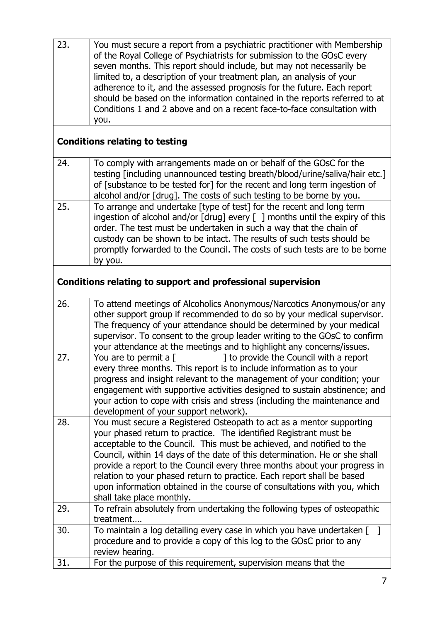| 23.                                                         | You must secure a report from a psychiatric practitioner with Membership<br>of the Royal College of Psychiatrists for submission to the GOsC every<br>seven months. This report should include, but may not necessarily be<br>limited to, a description of your treatment plan, an analysis of your<br>adherence to it, and the assessed prognosis for the future. Each report<br>should be based on the information contained in the reports referred to at<br>Conditions 1 and 2 above and on a recent face-to-face consultation with<br>you.                  |
|-------------------------------------------------------------|------------------------------------------------------------------------------------------------------------------------------------------------------------------------------------------------------------------------------------------------------------------------------------------------------------------------------------------------------------------------------------------------------------------------------------------------------------------------------------------------------------------------------------------------------------------|
|                                                             | <b>Conditions relating to testing</b>                                                                                                                                                                                                                                                                                                                                                                                                                                                                                                                            |
| 24.                                                         | To comply with arrangements made on or behalf of the GOsC for the<br>testing [including unannounced testing breath/blood/urine/saliva/hair etc.]<br>of [substance to be tested for] for the recent and long term ingestion of<br>alcohol and/or [drug]. The costs of such testing to be borne by you.                                                                                                                                                                                                                                                            |
| 25.                                                         | To arrange and undertake [type of test] for the recent and long term<br>ingestion of alcohol and/or [drug] every [ ] months until the expiry of this<br>order. The test must be undertaken in such a way that the chain of<br>custody can be shown to be intact. The results of such tests should be<br>promptly forwarded to the Council. The costs of such tests are to be borne<br>by you.                                                                                                                                                                    |
| Conditions relating to support and professional supervision |                                                                                                                                                                                                                                                                                                                                                                                                                                                                                                                                                                  |
| 26.                                                         | To attend meetings of Alcoholics Anonymous/Narcotics Anonymous/or any<br>other support group if recommended to do so by your medical supervisor.<br>The frequency of your attendance should be determined by your medical<br>supervisor. To consent to the group leader writing to the GOsC to confirm<br>your attendance at the meetings and to highlight any concerns/issues.                                                                                                                                                                                  |
| 27.                                                         | 1 to provide the Council with a report<br>You are to permit a $\lceil$<br>every three months. This report is to include information as to your<br>progress and insight relevant to the management of your condition; your<br>engagement with supportive activities designed to sustain abstinence; and<br>your action to cope with crisis and stress (including the maintenance and<br>development of your support network).                                                                                                                                     |
| 28.                                                         | You must secure a Registered Osteopath to act as a mentor supporting<br>your phased return to practice. The identified Registrant must be<br>acceptable to the Council. This must be achieved, and notified to the<br>Council, within 14 days of the date of this determination. He or she shall<br>provide a report to the Council every three months about your progress in<br>relation to your phased return to practice. Each report shall be based<br>upon information obtained in the course of consultations with you, which<br>shall take place monthly. |
| 29.                                                         | To refrain absolutely from undertaking the following types of osteopathic<br>treatment                                                                                                                                                                                                                                                                                                                                                                                                                                                                           |
| 30.                                                         | To maintain a log detailing every case in which you have undertaken $\lceil \quad \rceil$<br>procedure and to provide a copy of this log to the GOsC prior to any<br>review hearing.                                                                                                                                                                                                                                                                                                                                                                             |
| 31.                                                         | For the purpose of this requirement, supervision means that the                                                                                                                                                                                                                                                                                                                                                                                                                                                                                                  |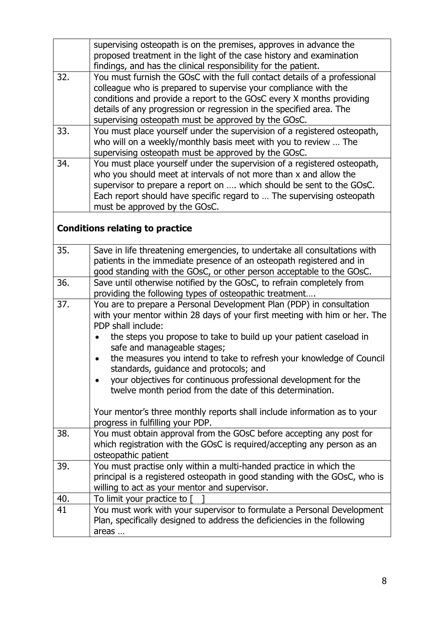|     | supervising osteopath is on the premises, approves in advance the                                                                             |
|-----|-----------------------------------------------------------------------------------------------------------------------------------------------|
|     | proposed treatment in the light of the case history and examination                                                                           |
|     | findings, and has the clinical responsibility for the patient.                                                                                |
| 32. | You must furnish the GOsC with the full contact details of a professional                                                                     |
|     | colleague who is prepared to supervise your compliance with the                                                                               |
|     | conditions and provide a report to the GOsC every X months providing                                                                          |
|     | details of any progression or regression in the specified area. The                                                                           |
|     | supervising osteopath must be approved by the GOsC.                                                                                           |
| 33. | You must place yourself under the supervision of a registered osteopath,                                                                      |
|     | who will on a weekly/monthly basis meet with you to review  The                                                                               |
|     | supervising osteopath must be approved by the GOsC.                                                                                           |
| 34. | You must place yourself under the supervision of a registered osteopath,                                                                      |
|     | who you should meet at intervals of not more than x and allow the                                                                             |
|     | supervisor to prepare a report on  which should be sent to the GOsC.                                                                          |
|     | Each report should have specific regard to  The supervising osteopath                                                                         |
|     | must be approved by the GOsC.                                                                                                                 |
|     |                                                                                                                                               |
|     | <b>Conditions relating to practice</b>                                                                                                        |
| 35. |                                                                                                                                               |
|     | Save in life threatening emergencies, to undertake all consultations with                                                                     |
|     | patients in the immediate presence of an osteopath registered and in                                                                          |
| 36. | good standing with the GOsC, or other person acceptable to the GOsC.<br>Save until otherwise notified by the GOsC, to refrain completely from |
|     | providing the following types of osteopathic treatment                                                                                        |
| 37. | You are to prepare a Personal Development Plan (PDP) in consultation                                                                          |
|     | with your mentor within 28 days of your first meeting with him or her. The                                                                    |
|     | PDP shall include:                                                                                                                            |
|     | the steps you propose to take to build up your patient caseload in                                                                            |
|     | safe and manageable stages;                                                                                                                   |
|     | the measures you intend to take to refresh your knowledge of Council                                                                          |
|     | standards, guidance and protocols; and                                                                                                        |
|     | your objectives for continuous professional development for the                                                                               |
|     | twelve month period from the date of this determination.                                                                                      |
|     |                                                                                                                                               |
|     | Your mentor's three monthly reports shall include information as to your                                                                      |
|     | progress in fulfilling your PDP.                                                                                                              |
| 38. | You must obtain approval from the GOsC before accepting any post for                                                                          |
|     | which registration with the GOsC is required/accepting any person as an                                                                       |
|     | osteopathic patient                                                                                                                           |
| 39. | You must practise only within a multi-handed practice in which the                                                                            |
|     | principal is a registered osteopath in good standing with the GOsC, who is                                                                    |
|     | willing to act as your mentor and supervisor.                                                                                                 |
| 40. | To limit your practice to [                                                                                                                   |
| 41  | You must work with your supervisor to formulate a Personal Development                                                                        |
|     | Plan, specifically designed to address the deficiencies in the following                                                                      |
|     | areas                                                                                                                                         |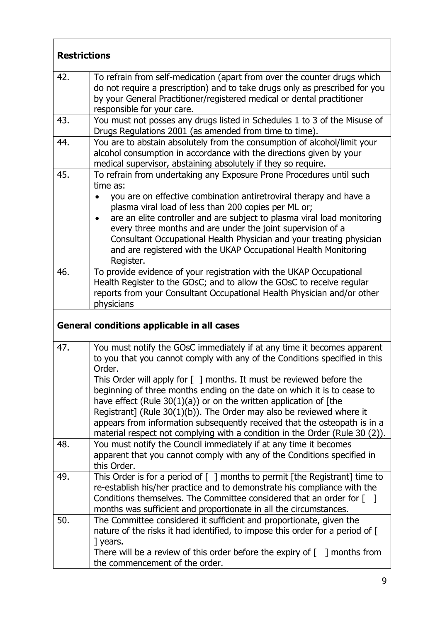| <b>Restrictions</b> |                                                                                                                                                                                                                                                                                                                                                                                                                                                                                                                                                                                                                                     |
|---------------------|-------------------------------------------------------------------------------------------------------------------------------------------------------------------------------------------------------------------------------------------------------------------------------------------------------------------------------------------------------------------------------------------------------------------------------------------------------------------------------------------------------------------------------------------------------------------------------------------------------------------------------------|
| 42.                 | To refrain from self-medication (apart from over the counter drugs which<br>do not require a prescription) and to take drugs only as prescribed for you<br>by your General Practitioner/registered medical or dental practitioner<br>responsible for your care.                                                                                                                                                                                                                                                                                                                                                                     |
| 43.                 | You must not posses any drugs listed in Schedules 1 to 3 of the Misuse of<br>Drugs Regulations 2001 (as amended from time to time).                                                                                                                                                                                                                                                                                                                                                                                                                                                                                                 |
| 44.                 | You are to abstain absolutely from the consumption of alcohol/limit your<br>alcohol consumption in accordance with the directions given by your<br>medical supervisor, abstaining absolutely if they so require.                                                                                                                                                                                                                                                                                                                                                                                                                    |
| 45.                 | To refrain from undertaking any Exposure Prone Procedures until such<br>time as:<br>you are on effective combination antiretroviral therapy and have a<br>plasma viral load of less than 200 copies per ML or;<br>are an elite controller and are subject to plasma viral load monitoring<br>every three months and are under the joint supervision of a<br>Consultant Occupational Health Physician and your treating physician<br>and are registered with the UKAP Occupational Health Monitoring<br>Register.                                                                                                                    |
| 46.                 | To provide evidence of your registration with the UKAP Occupational<br>Health Register to the GOsC; and to allow the GOsC to receive regular<br>reports from your Consultant Occupational Health Physician and/or other<br>physicians                                                                                                                                                                                                                                                                                                                                                                                               |
|                     | General conditions applicable in all cases                                                                                                                                                                                                                                                                                                                                                                                                                                                                                                                                                                                          |
| 47.                 | You must notify the GOsC immediately if at any time it becomes apparent<br>to you that you cannot comply with any of the Conditions specified in this<br>Order.<br>This Order will apply for $[$ ] months. It must be reviewed before the<br>beginning of three months ending on the date on which it is to cease to<br>have effect (Rule $30(1)(a)$ ) or on the written application of [the<br>Registrant] (Rule $30(1)(b)$ ). The Order may also be reviewed where it<br>appears from information subsequently received that the osteopath is in a<br>material respect not complying with a condition in the Order (Rule 30 (2)). |
| 48.                 | You must notify the Council immediately if at any time it becomes<br>apparent that you cannot comply with any of the Conditions specified in<br>this Order.                                                                                                                                                                                                                                                                                                                                                                                                                                                                         |
| 49.                 | This Order is for a period of [ ] months to permit [the Registrant] time to<br>re-establish his/her practice and to demonstrate his compliance with the<br>Conditions themselves. The Committee considered that an order for $\lceil \quad \rceil$<br>months was sufficient and proportionate in all the circumstances.                                                                                                                                                                                                                                                                                                             |
| 50.                 | The Committee considered it sufficient and proportionate, given the<br>nature of the risks it had identified, to impose this order for a period of [<br>] years.<br>There will be a review of this order before the expiry of $\lceil \ \rceil$ months from<br>the commencement of the order.                                                                                                                                                                                                                                                                                                                                       |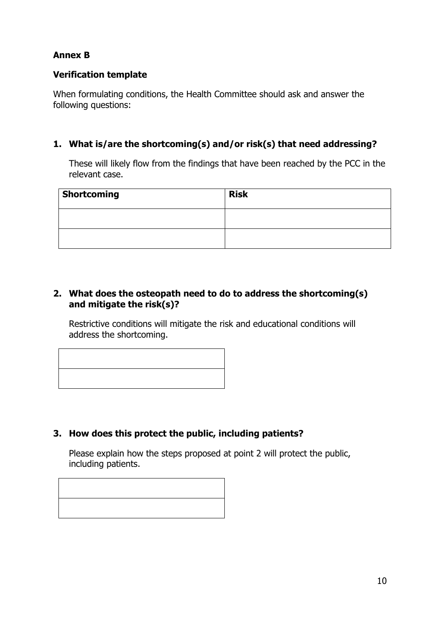# **Annex B**

## **Verification template**

When formulating conditions, the Health Committee should ask and answer the following questions:

## **1. What is/are the shortcoming(s) and/or risk(s) that need addressing?**

These will likely flow from the findings that have been reached by the PCC in the relevant case.

| <b>Shortcoming</b> | <b>Risk</b> |
|--------------------|-------------|
|                    |             |
|                    |             |

## **2. What does the osteopath need to do to address the shortcoming(s) and mitigate the risk(s)?**

Restrictive conditions will mitigate the risk and educational conditions will address the shortcoming.



## **3. How does this protect the public, including patients?**

Please explain how the steps proposed at point 2 will protect the public, including patients.